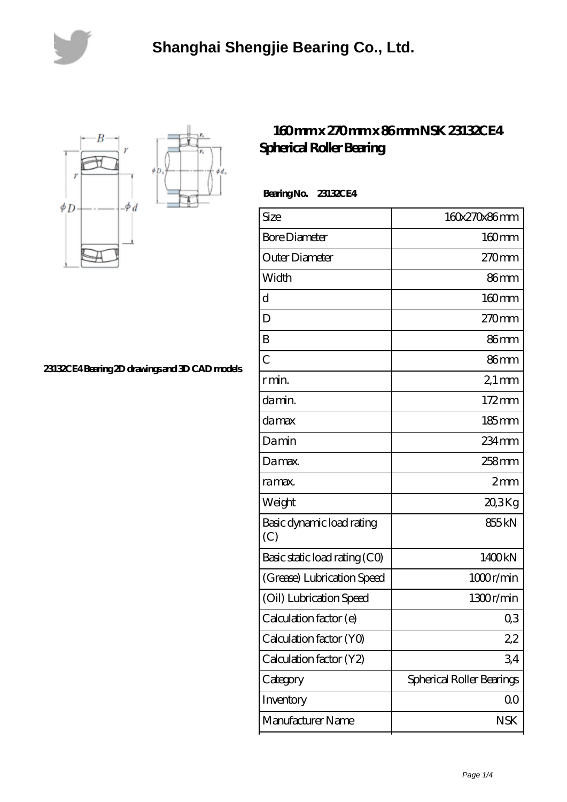



**[23132CE4 Bearing 2D drawings and 3D CAD models](https://lemeritagerestaurant.com/pic-446646.html)**

## **[160 mm x 270 mm x 86 mm NSK 23132CE4](https://lemeritagerestaurant.com/nsk-23132ce4-bearing/) [Spherical Roller Bearing](https://lemeritagerestaurant.com/nsk-23132ce4-bearing/)**

 **Bearing No. 23132CE4**

| Size                             | 160x270x86mm              |
|----------------------------------|---------------------------|
| <b>Bore Diameter</b>             | $160 \text{mm}$           |
| Outer Diameter                   | $270$ mm                  |
| Width                            | 86mm                      |
| d                                | $160$ mm                  |
| D                                | $270$ mm                  |
| B                                | 86 <sub>mm</sub>          |
| $\overline{C}$                   | 86mm                      |
| r min.                           | $21 \,\mathrm{mm}$        |
| da min.                          | $172 \text{mm}$           |
| damax                            | $185 \,\mathrm{mm}$       |
| Damin                            | $234 \,\mathrm{mm}$       |
| Damax.                           | 258 <sub>mm</sub>         |
| ra max.                          | 2mm                       |
| Weight                           | 20,3Kg                    |
| Basic dynamic load rating<br>(C) | 855 <sub>kN</sub>         |
| Basic static load rating (CO)    | 1400kN                    |
| (Grease) Lubrication Speed       | 1000r/min                 |
| (Oil) Lubrication Speed          | 1300r/min                 |
| Calculation factor (e)           | Q3                        |
| Calculation factor (YO)          | 2,2                       |
| Calculation factor (Y2)          | 34                        |
| Category                         | Spherical Roller Bearings |
| Inventory                        | 00                        |
| Manufacturer Name                | <b>NSK</b>                |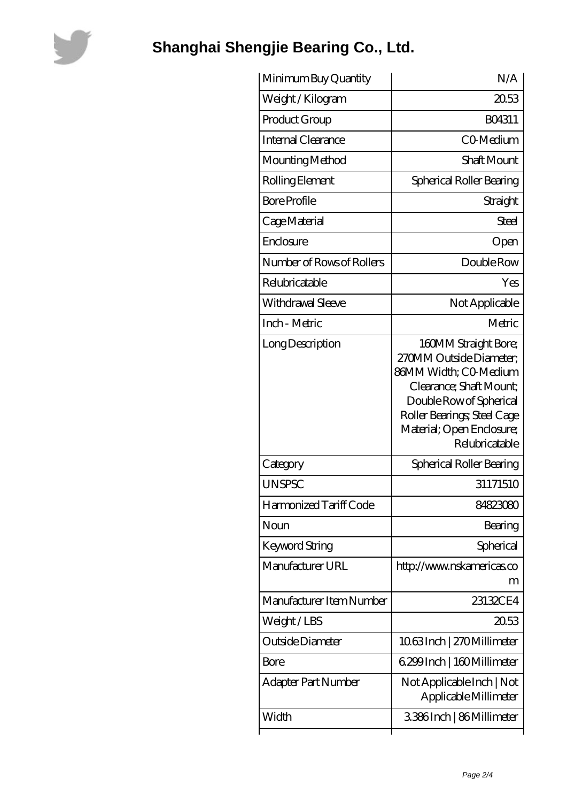

## **[Shanghai Shengjie Bearing Co., Ltd.](https://lemeritagerestaurant.com)**

| Minimum Buy Quantity      | N/A                                                                                                                                                                                                          |
|---------------------------|--------------------------------------------------------------------------------------------------------------------------------------------------------------------------------------------------------------|
| Weight / Kilogram         | 2053                                                                                                                                                                                                         |
| Product Group             | BO4311                                                                                                                                                                                                       |
| Internal Clearance        | <b>CO-Medium</b>                                                                                                                                                                                             |
| Mounting Method           | Shaft Mount                                                                                                                                                                                                  |
| Rolling Element           | Spherical Roller Bearing                                                                                                                                                                                     |
| <b>Bore Profile</b>       | Straight                                                                                                                                                                                                     |
| Cage Material             | Steel                                                                                                                                                                                                        |
| Enclosure                 | Open                                                                                                                                                                                                         |
| Number of Rows of Rollers | Double Row                                                                                                                                                                                                   |
| Relubricatable            | Yes                                                                                                                                                                                                          |
| Withdrawal Sleeve         | Not Applicable                                                                                                                                                                                               |
| Inch - Metric             | Metric                                                                                                                                                                                                       |
| Long Description          | 160MM Straight Bore;<br>270MM Outside Diameter:<br>86MM Width; CO-Medium<br>Clearance; Shaft Mount;<br>Double Row of Spherical<br>Roller Bearings; Steel Cage<br>Material; Open Enclosure;<br>Relubricatable |
| Category                  | Spherical Roller Bearing                                                                                                                                                                                     |
| <b>UNSPSC</b>             | 31171510                                                                                                                                                                                                     |
| Harmonized Tariff Code    | 84823080                                                                                                                                                                                                     |
| Noun                      | Bearing                                                                                                                                                                                                      |
| Keyword String            | Spherical                                                                                                                                                                                                    |
| Manufacturer URL          | http://www.nskamericas.co<br>m                                                                                                                                                                               |
| Manufacturer Item Number  | 23132CE4                                                                                                                                                                                                     |
| Weight/LBS                | 2053                                                                                                                                                                                                         |
| Outside Diameter          | 1063Inch   270Millimeter                                                                                                                                                                                     |
| Bore                      | 6.299 Inch   160 Millimeter                                                                                                                                                                                  |
| Adapter Part Number       | Not Applicable Inch   Not<br>Applicable Millimeter                                                                                                                                                           |
| Width                     | 3386Inch   86Millimeter                                                                                                                                                                                      |
|                           |                                                                                                                                                                                                              |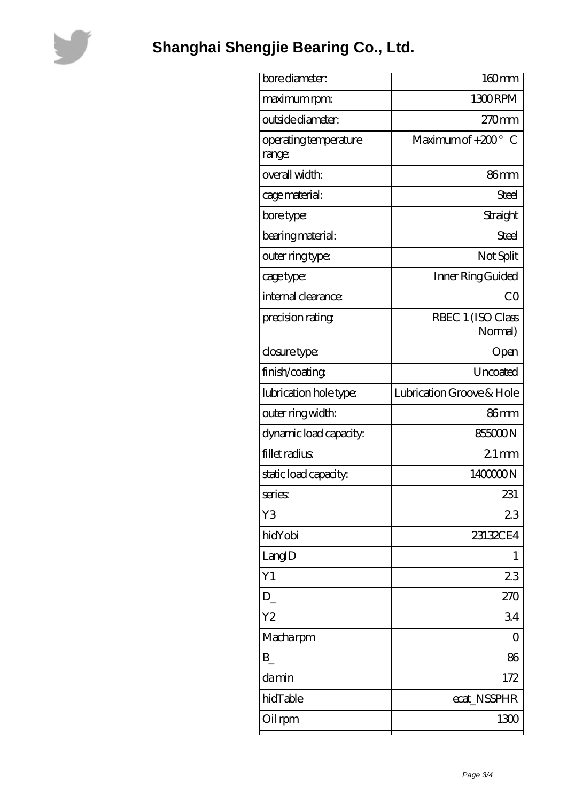

## **[Shanghai Shengjie Bearing Co., Ltd.](https://lemeritagerestaurant.com)**

| bore diameter:                  | 160mm                        |
|---------------------------------|------------------------------|
| maximum rpm:                    | 1300RPM                      |
| outside diameter:               | 270mm                        |
| operating temperature<br>range: | Maximum of $+200^\circ$<br>C |
| overall width:                  | 86 <sub>mm</sub>             |
| cage material:                  | Steel                        |
| bore type:                      | Straight                     |
| bearing material:               | <b>Steel</b>                 |
| outer ring type:                | Not Split                    |
| cage type:                      | Inner Ring Guided            |
| internal clearance:             | CO                           |
| precision rating                | RBEC 1 (ISO Class<br>Normal) |
| closure type:                   | Open                         |
| finish/coating                  | Uncoated                     |
| lubrication hole type:          | Lubrication Groove & Hole    |
| outer ring width:               | 86 <sub>mm</sub>             |
| dynamic load capacity:          | 855000N                      |
| fillet radius                   | $21$ mm                      |
| static load capacity.           | 140000N                      |
| series:                         | 231                          |
| Y3                              | 23                           |
| hidYobi                         | 23132CE4                     |
| LangID                          | 1                            |
| Y1                              | 23                           |
| D                               | 270                          |
| Y2                              | 34                           |
| Macha rpm                       | 0                            |
| B                               | 86                           |
| damin                           | 172                          |
| hidTable                        | ecat_NSSPHR                  |
| Oil rpm                         | 1300                         |
|                                 |                              |